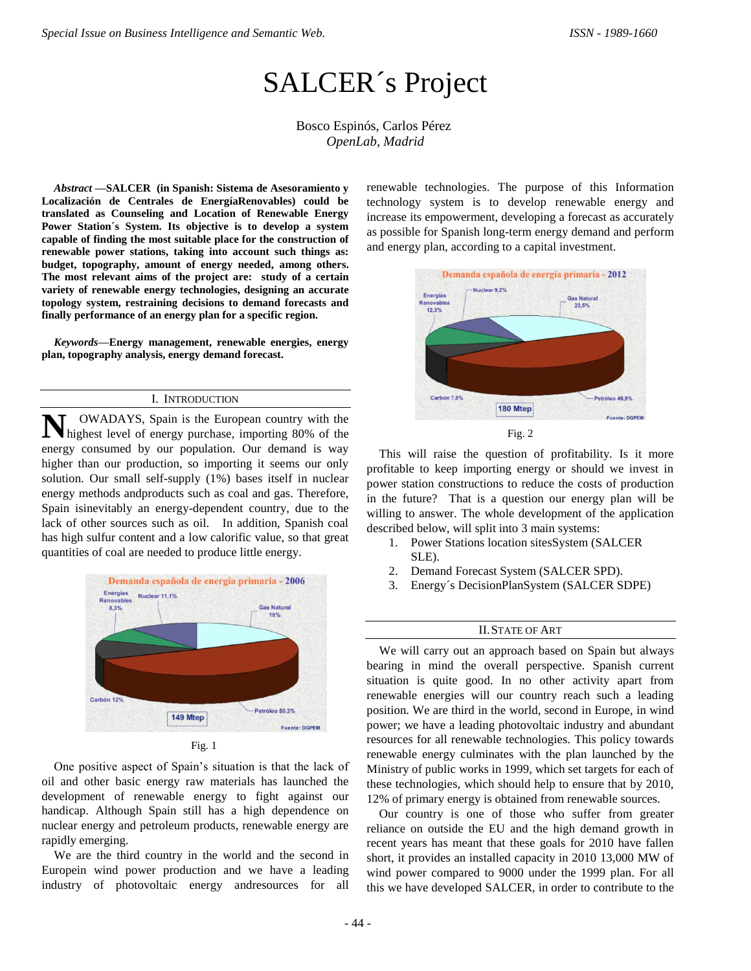# SALCER´s Project

Bosco Espinós, Carlos Pérez *OpenLab, Madrid*

*Abstract* **—SALCER (in Spanish: Sistema de Asesoramiento y Localización de Centrales de EnergíaRenovables) could be translated as Counseling and Location of Renewable Energy Power Station´s System. Its objective is to develop a system capable of finding the most suitable place for the construction of renewable power stations, taking into account such things as: budget, topography, amount of energy needed, among others. The most relevant aims of the project are: study of a certain variety of renewable energy technologies, designing an accurate topology system, restraining decisions to demand forecasts and finally performance of an energy plan for a specific region.**

*Keywords***—Energy management, renewable energies, energy plan, topography analysis, energy demand forecast.**

#### I. INTRODUCTION

OWADAYS, Spain is the European country with the highest level of energy purchase, importing 80% of the energy consumed by our population. Our demand is way higher than our production, so importing it seems our only solution. Our small self-supply (1%) bases itself in nuclear energy methods andproducts such as coal and gas. Therefore, Spain isinevitably an energy-dependent country, due to the lack of other sources such as oil. In addition, Spanish coal has high sulfur content and a low calorific value, so that great quantities of coal are needed to produce little energy. **N**





One positive aspect of Spain's situation is that the lack of oil and other basic energy raw materials has launched the development of renewable energy to fight against our handicap. Although Spain still has a high dependence on nuclear energy and petroleum products, renewable energy are rapidly emerging.

We are the third country in the world and the second in Europein wind power production and we have a leading industry of photovoltaic energy andresources for all renewable technologies. The purpose of this Information technology system is to develop renewable energy and increase its empowerment, developing a forecast as accurately as possible for Spanish long-term energy demand and perform and energy plan, according to a capital investment.



This will raise the question of profitability. Is it more profitable to keep importing energy or should we invest in power station constructions to reduce the costs of production in the future? That is a question our energy plan will be willing to answer. The whole development of the application described below, will split into 3 main systems:

- 1. Power Stations location sitesSystem (SALCER SLE).
- 2. Demand Forecast System (SALCER SPD).
- 3. Energy´s DecisionPlanSystem (SALCER SDPE)

## II.STATE OF ART

We will carry out an approach based on Spain but always bearing in mind the overall perspective. Spanish current situation is quite good. In no other activity apart from renewable energies will our country reach such a leading position. We are third in the world, second in Europe, in wind power; we have a leading photovoltaic industry and abundant resources for all renewable technologies. This policy towards renewable energy culminates with the plan launched by the Ministry of public works in 1999, which set targets for each of these technologies, which should help to ensure that by 2010, 12% of primary energy is obtained from renewable sources.

Our country is one of those who suffer from greater reliance on outside the EU and the high demand growth in recent years has meant that these goals for 2010 have fallen short, it provides an installed capacity in 2010 13,000 MW of wind power compared to 9000 under the 1999 plan. For all this we have developed SALCER, in order to contribute to the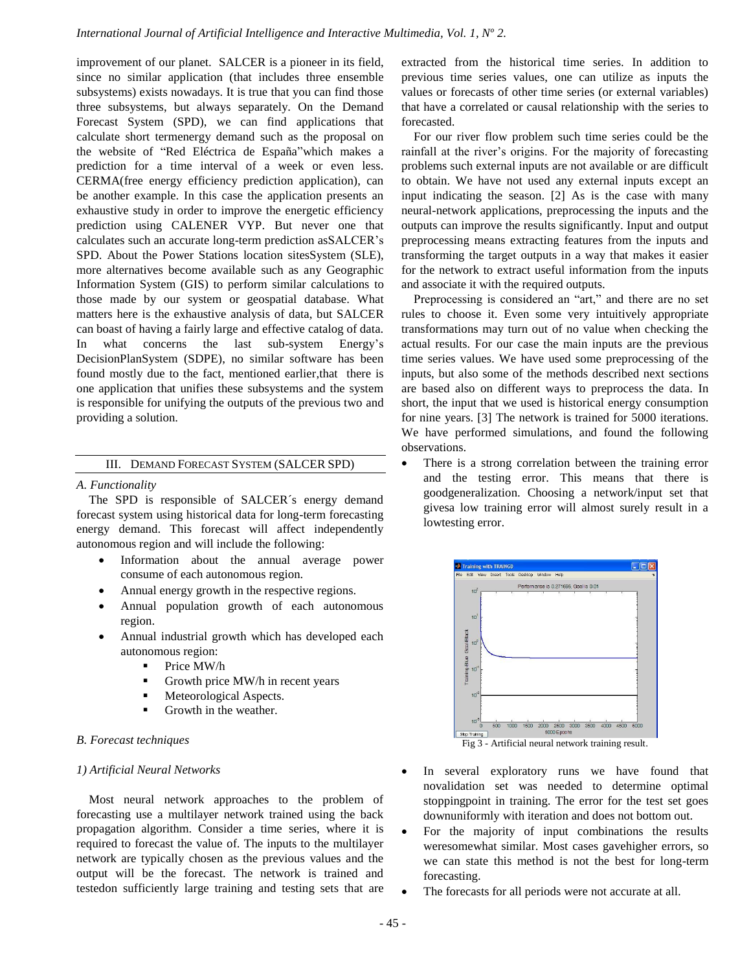improvement of our planet. SALCER is a pioneer in its field, since no similar application (that includes three ensemble subsystems) exists nowadays. It is true that you can find those three subsystems, but always separately. On the Demand Forecast System (SPD), we can find applications that calculate short termenergy demand such as the proposal on the website of "Red Eléctrica de España"which makes a prediction for a time interval of a week or even less. CERMA(free energy efficiency prediction application), can be another example. In this case the application presents an exhaustive study in order to improve the energetic efficiency prediction using CALENER VYP. But never one that calculates such an accurate long-term prediction asSALCER's SPD. About the Power Stations location sitesSystem (SLE), more alternatives become available such as any Geographic Information System (GIS) to perform similar calculations to those made by our system or geospatial database. What matters here is the exhaustive analysis of data, but SALCER can boast of having a fairly large and effective catalog of data. In what concerns the last sub-system Energy's DecisionPlanSystem (SDPE), no similar software has been found mostly due to the fact, mentioned earlier,that there is one application that unifies these subsystems and the system is responsible for unifying the outputs of the previous two and providing a solution.

# III. DEMAND FORECAST SYSTEM (SALCER SPD)

#### *A. Functionality*

The SPD is responsible of SALCER´s energy demand forecast system using historical data for long-term forecasting energy demand. This forecast will affect independently autonomous region and will include the following:

- Information about the annual average power consume of each autonomous region.
- Annual energy growth in the respective regions.
- Annual population growth of each autonomous region.
- Annual industrial growth which has developed each autonomous region:
	- **Price MW/h**
	- Growth price MW/h in recent years
	- **Meteorological Aspects.**
	- Growth in the weather.

# *B. Forecast techniques*

# *1) Artificial Neural Networks*

Most neural network approaches to the problem of forecasting use a multilayer network trained using the back propagation algorithm. Consider a time series, where it is required to forecast the value of. The inputs to the multilayer network are typically chosen as the previous values and the output will be the forecast. The network is trained and testedon sufficiently large training and testing sets that are

extracted from the historical time series. In addition to previous time series values, one can utilize as inputs the values or forecasts of other time series (or external variables) that have a correlated or causal relationship with the series to forecasted.

For our river flow problem such time series could be the rainfall at the river's origins. For the majority of forecasting problems such external inputs are not available or are difficult to obtain. We have not used any external inputs except an input indicating the season. [2] As is the case with many neural-network applications, preprocessing the inputs and the outputs can improve the results significantly. Input and output preprocessing means extracting features from the inputs and transforming the target outputs in a way that makes it easier for the network to extract useful information from the inputs and associate it with the required outputs.

Preprocessing is considered an "art," and there are no set rules to choose it. Even some very intuitively appropriate transformations may turn out of no value when checking the actual results. For our case the main inputs are the previous time series values. We have used some preprocessing of the inputs, but also some of the methods described next sections are based also on different ways to preprocess the data. In short, the input that we used is historical energy consumption for nine years. [3] The network is trained for 5000 iterations. We have performed simulations, and found the following observations.

 There is a strong correlation between the training error and the testing error. This means that there is goodgeneralization. Choosing a network/input set that givesa low training error will almost surely result in a lowtesting error.



- In several exploratory runs we have found that novalidation set was needed to determine optimal stoppingpoint in training. The error for the test set goes downuniformly with iteration and does not bottom out.
- For the majority of input combinations the results weresomewhat similar. Most cases gavehigher errors, so we can state this method is not the best for long-term forecasting.
- The forecasts for all periods were not accurate at all.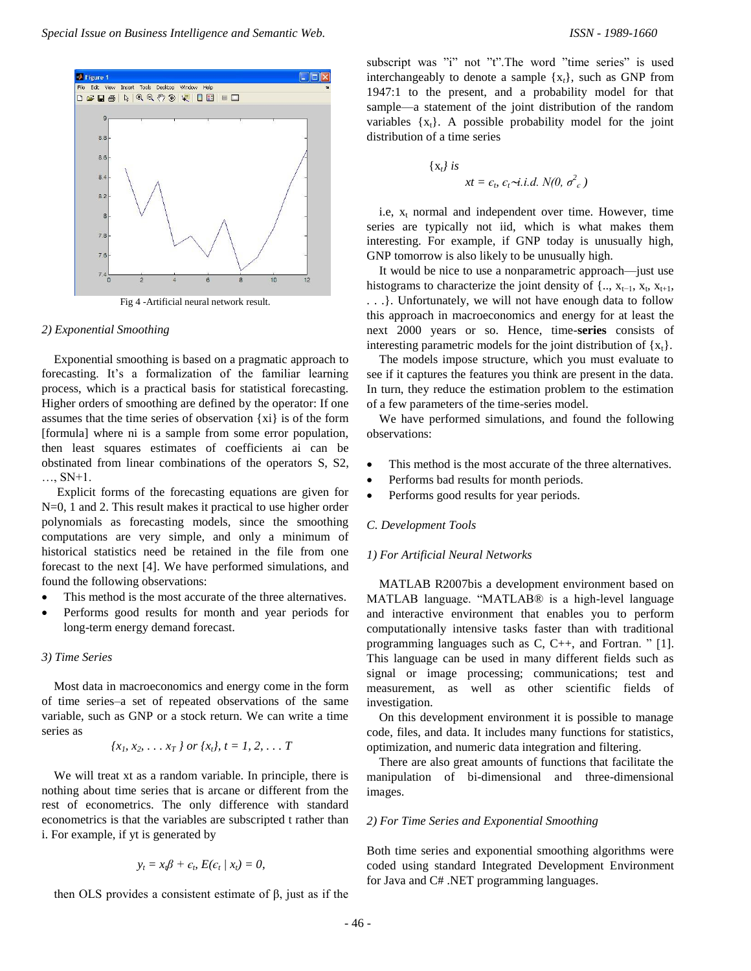

Fig 4 -Artificial neural network result.

#### *2) Exponential Smoothing*

Exponential smoothing is based on a pragmatic approach to forecasting. It's a formalization of the familiar learning process, which is a practical basis for statistical forecasting. Higher orders of smoothing are defined by the operator: If one assumes that the time series of observation {xi} is of the form [formula] where ni is a sample from some error population, then least squares estimates of coefficients ai can be obstinated from linear combinations of the operators S, S2, …, SN+1.

Explicit forms of the forecasting equations are given for N=0, 1 and 2. This result makes it practical to use higher order polynomials as forecasting models, since the smoothing computations are very simple, and only a minimum of historical statistics need be retained in the file from one forecast to the next [4]. We have performed simulations, and found the following observations:

- This method is the most accurate of the three alternatives.
- Performs good results for month and year periods for long-term energy demand forecast.

#### *3) Time Series*

Most data in macroeconomics and energy come in the form of time series–a set of repeated observations of the same variable, such as GNP or a stock return. We can write a time series as

$$
\{x_1, x_2, \ldots x_T\} \text{ or } \{x_t\}, t = 1, 2, \ldots T
$$

We will treat xt as a random variable. In principle, there is nothing about time series that is arcane or different from the rest of econometrics. The only difference with standard econometrics is that the variables are subscripted t rather than i. For example, if yt is generated by

$$
y_t = x_t \beta + \epsilon_t, E(\epsilon_t / x_t) = 0,
$$

then OLS provides a consistent estimate of β, just as if the

subscript was "i" not "t". The word "time series" is used interchangeably to denote a sample  $\{x_t\}$ , such as GNP from 1947:1 to the present, and a probability model for that sample—a statement of the joint distribution of the random variables  $\{x_t\}$ . A possible probability model for the joint distribution of a time series

$$
x_t \text{ is}
$$
  

$$
xt = \epsilon_b \epsilon_t \sim i.i.d. N(0, \sigma_e^2)
$$

i.e,  $x_t$  normal and independent over time. However, time series are typically not iid, which is what makes them interesting. For example, if GNP today is unusually high, GNP tomorrow is also likely to be unusually high.

It would be nice to use a nonparametric approach—just use histograms to characterize the joint density of  ${..., x_{t-1}, x_t, x_{t+1}, ...}$ . . .}. Unfortunately, we will not have enough data to follow this approach in macroeconomics and energy for at least the next 2000 years or so. Hence, time-**series** consists of interesting parametric models for the joint distribution of  $\{x_t\}$ .

The models impose structure, which you must evaluate to see if it captures the features you think are present in the data. In turn, they reduce the estimation problem to the estimation of a few parameters of the time-series model.

We have performed simulations, and found the following observations:

- This method is the most accurate of the three alternatives.
- Performs bad results for month periods.
- Performs good results for year periods.

#### *C. Development Tools*

{x*t} is*

#### *1) For Artificial Neural Networks*

MATLAB R2007bis a development environment based on MATLAB language. "MATLAB® is a high-level language and interactive environment that enables you to perform computationally intensive tasks faster than with traditional programming languages such as  $C, C++,$  and Fortran.  $\degree$  [1]. This language can be used in many different fields such as signal or image processing; communications; test and measurement, as well as other scientific fields of investigation.

On this development environment it is possible to manage code, files, and data. It includes many functions for statistics, optimization, and numeric data integration and filtering.

There are also great amounts of functions that facilitate the manipulation of bi-dimensional and three-dimensional images.

#### *2) For Time Series and Exponential Smoothing*

Both time series and exponential smoothing algorithms were coded using standard Integrated Development Environment for Java and C# .NET programming languages.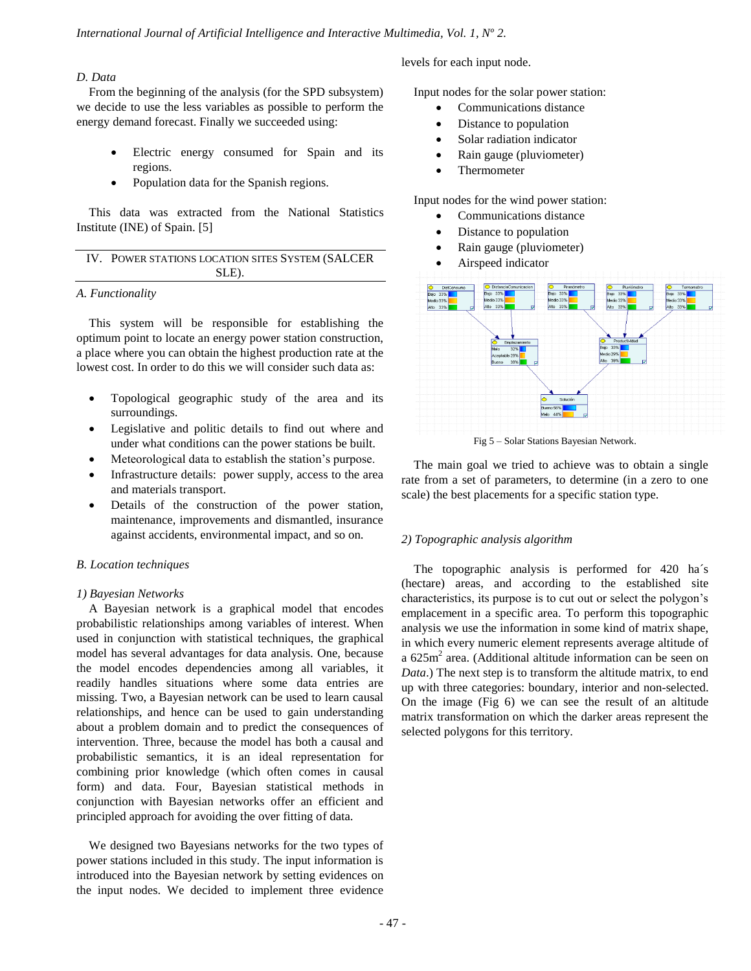## *D. Data*

From the beginning of the analysis (for the SPD subsystem) we decide to use the less variables as possible to perform the energy demand forecast. Finally we succeeded using:

- Electric energy consumed for Spain and its regions.
- Population data for the Spanish regions.

This data was extracted from the National Statistics Institute (INE) of Spain. [5]

IV. POWER STATIONS LOCATION SITES SYSTEM (SALCER SLE).

#### *A. Functionality*

This system will be responsible for establishing the optimum point to locate an energy power station construction, a place where you can obtain the highest production rate at the lowest cost. In order to do this we will consider such data as:

- Topological geographic study of the area and its surroundings.
- Legislative and politic details to find out where and under what conditions can the power stations be built.
- Meteorological data to establish the station's purpose.
- Infrastructure details: power supply, access to the area and materials transport.
- Details of the construction of the power station, maintenance, improvements and dismantled, insurance against accidents, environmental impact, and so on.

#### *B. Location techniques*

#### *1) Bayesian Networks*

A Bayesian network is a graphical model that encodes probabilistic relationships among variables of interest. When used in conjunction with statistical techniques, the graphical model has several advantages for data analysis. One, because the model encodes dependencies among all variables, it readily handles situations where some data entries are missing. Two, a Bayesian network can be used to learn causal relationships, and hence can be used to gain understanding about a problem domain and to predict the consequences of intervention. Three, because the model has both a causal and probabilistic semantics, it is an ideal representation for combining prior knowledge (which often comes in causal form) and data. Four, Bayesian statistical methods in conjunction with Bayesian networks offer an efficient and principled approach for avoiding the over fitting of data.

We designed two Bayesians networks for the two types of power stations included in this study. The input information is introduced into the Bayesian network by setting evidences on the input nodes. We decided to implement three evidence

#### levels for each input node.

Input nodes for the solar power station:

- Communications distance
- Distance to population
- Solar radiation indicator
- Rain gauge (pluviometer)
- Thermometer

Input nodes for the wind power station:

- Communications distance
- Distance to population
- Rain gauge (pluviometer)
- Airspeed indicator



Fig 5 – Solar Stations Bayesian Network.

The main goal we tried to achieve was to obtain a single rate from a set of parameters, to determine (in a zero to one scale) the best placements for a specific station type.

#### *2) Topographic analysis algorithm*

The topographic analysis is performed for 420 ha´s (hectare) areas, and according to the established site characteristics, its purpose is to cut out or select the polygon's emplacement in a specific area. To perform this topographic analysis we use the information in some kind of matrix shape, in which every numeric element represents average altitude of a  $625m<sup>2</sup>$  area. (Additional altitude information can be seen on *Data*.) The next step is to transform the altitude matrix, to end up with three categories: boundary, interior and non-selected. On the image (Fig 6) we can see the result of an altitude matrix transformation on which the darker areas represent the selected polygons for this territory.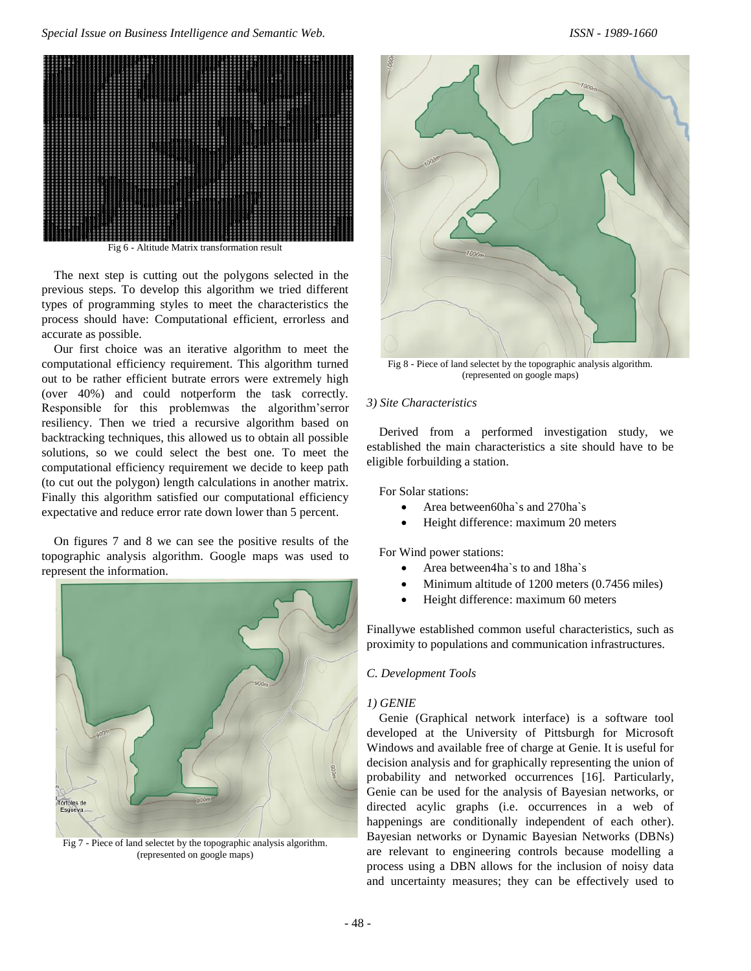

Fig 6 - Altitude Matrix transformation result

The next step is cutting out the polygons selected in the previous steps. To develop this algorithm we tried different types of programming styles to meet the characteristics the process should have: Computational efficient, errorless and accurate as possible.

Our first choice was an iterative algorithm to meet the computational efficiency requirement. This algorithm turned out to be rather efficient butrate errors were extremely high (over 40%) and could notperform the task correctly. Responsible for this problemwas the algorithm'serror resiliency. Then we tried a recursive algorithm based on backtracking techniques, this allowed us to obtain all possible solutions, so we could select the best one. To meet the computational efficiency requirement we decide to keep path (to cut out the polygon) length calculations in another matrix. Finally this algorithm satisfied our computational efficiency expectative and reduce error rate down lower than 5 percent.

On figures 7 and 8 we can see the positive results of the topographic analysis algorithm. Google maps was used to represent the information.



Fig 7 - Piece of land selectet by the topographic analysis algorithm. (represented on google maps)



Fig 8 - Piece of land selectet by the topographic analysis algorithm. (represented on google maps)

## *3) Site Characteristics*

Derived from a performed investigation study, we established the main characteristics a site should have to be eligible forbuilding a station.

For Solar stations:

- Area between60ha`s and 270ha`s
- Height difference: maximum 20 meters

For Wind power stations:

- Area between4ha`s to and 18ha`s
- Minimum altitude of 1200 meters (0.7456 miles)
- Height difference: maximum 60 meters

Finallywe established common useful characteristics, such as proximity to populations and communication infrastructures.

## *C. Development Tools*

#### *1) GENIE*

Genie (Graphical network interface) is a software tool developed at the University of Pittsburgh for Microsoft Windows and available free of charge at Genie. It is useful for decision analysis and for graphically representing the union of probability and networked occurrences [16]. Particularly, Genie can be used for the analysis of Bayesian networks, or directed acylic graphs (i.e. occurrences in a web of happenings are conditionally independent of each other). Bayesian networks or Dynamic Bayesian Networks (DBNs) are relevant to engineering controls because modelling a process using a DBN allows for the inclusion of noisy data and uncertainty measures; they can be effectively used to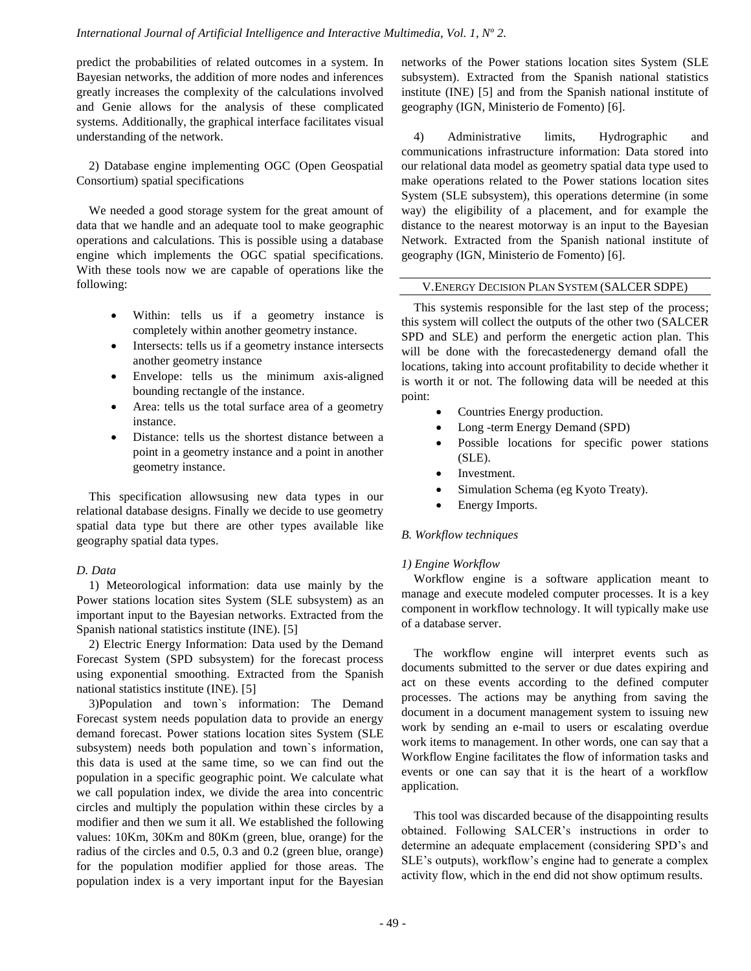predict the probabilities of related outcomes in a system. In Bayesian networks, the addition of more nodes and inferences greatly increases the complexity of the calculations involved and Genie allows for the analysis of these complicated systems. Additionally, the graphical interface facilitates visual understanding of the network.

2) Database engine implementing OGC (Open Geospatial Consortium) spatial specifications

We needed a good storage system for the great amount of data that we handle and an adequate tool to make geographic operations and calculations. This is possible using a database engine which implements the OGC spatial specifications. With these tools now we are capable of operations like the following:

- Within: tells us if a geometry instance is completely within another geometry instance.
- Intersects: tells us if a geometry instance intersects another geometry instance
- Envelope: tells us the minimum axis-aligned bounding rectangle of the instance.
- Area: tells us the total surface area of a geometry instance.
- Distance: tells us the shortest distance between a point in a geometry instance and a point in another geometry instance.

This specification allowsusing new data types in our relational database designs. Finally we decide to use geometry spatial data type but there are other types available like geography spatial data types.

# *D. Data*

1) Meteorological information: data use mainly by the Power stations location sites System (SLE subsystem) as an important input to the Bayesian networks. Extracted from the Spanish national statistics institute (INE). [5]

2) Electric Energy Information: Data used by the Demand Forecast System (SPD subsystem) for the forecast process using exponential smoothing. Extracted from the Spanish national statistics institute (INE). [5]

3)Population and town`s information: The Demand Forecast system needs population data to provide an energy demand forecast. Power stations location sites System (SLE subsystem) needs both population and town`s information, this data is used at the same time, so we can find out the population in a specific geographic point. We calculate what we call population index, we divide the area into concentric circles and multiply the population within these circles by a modifier and then we sum it all. We established the following values: 10Km, 30Km and 80Km (green, blue, orange) for the radius of the circles and 0.5, 0.3 and 0.2 (green blue, orange) for the population modifier applied for those areas. The population index is a very important input for the Bayesian

networks of the Power stations location sites System (SLE subsystem). Extracted from the Spanish national statistics institute (INE) [5] and from the Spanish national institute of geography (IGN, Ministerio de Fomento) [6].

4) Administrative limits, Hydrographic and communications infrastructure information: Data stored into our relational data model as geometry spatial data type used to make operations related to the Power stations location sites System (SLE subsystem), this operations determine (in some way) the eligibility of a placement, and for example the distance to the nearest motorway is an input to the Bayesian Network. Extracted from the Spanish national institute of geography (IGN, Ministerio de Fomento) [6].

#### V.ENERGY DECISION PLAN SYSTEM (SALCER SDPE)

This systemis responsible for the last step of the process; this system will collect the outputs of the other two (SALCER SPD and SLE) and perform the energetic action plan. This will be done with the forecastedenergy demand ofall the locations, taking into account profitability to decide whether it is worth it or not. The following data will be needed at this point:

- Countries Energy production.
- Long -term Energy Demand (SPD)
- Possible locations for specific power stations (SLE).
- Investment.
- Simulation Schema (eg Kyoto Treaty).
- Energy Imports.

#### *B. Workflow techniques*

#### *1) Engine Workflow*

Workflow engine is a [software](http://en.wikipedia.org/wiki/Software) application meant to manage and execute modeled computer processes. It is a key component in [workflow technology.](http://en.wikipedia.org/wiki/Workflow_technology) It will typically make use of a [database server.](http://en.wikipedia.org/wiki/Database_server)

The [workflow](http://en.wikipedia.org/wiki/Workflow) engine will interpret events such as documents submitted to the server or due dates expiring and act on these events according to the defined computer processes. The actions may be anything from saving the document in a [document management system](http://en.wikipedia.org/wiki/Document_management_system) to issuing new work by sending an e-mail to users or escalating overdue work items to management. In other words, one can say that a Workflow Engine facilitates the flow of information tasks and events or one can say that it is the heart of a workflow application.

This tool was discarded because of the disappointing results obtained. Following SALCER's instructions in order to determine an adequate emplacement (considering SPD's and SLE's outputs), workflow's engine had to generate a complex activity flow, which in the end did not show optimum results.